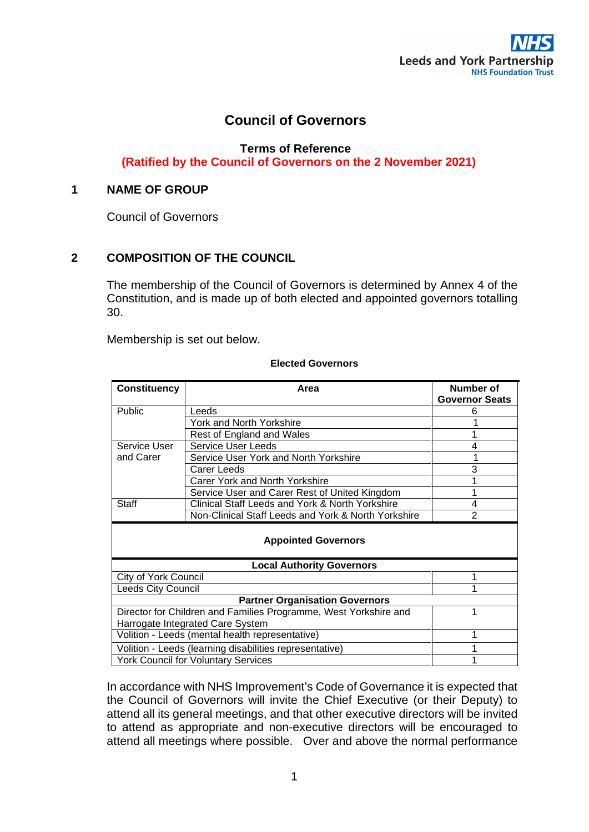# **Council of Governors**

**Terms of Reference** 

 **(Ratified by the Council of Governors on the 2 November 2021)**

## **1 NAME OF GROUP**

Council of Governors

# **2 COMPOSITION OF THE COUNCIL**

The membership of the Council of Governors is determined by Annex 4 of the Constitution, and is made up of both elected and appointed governors totalling 30.

Membership is set out below.

| <b>Constituency</b>                                              | Area                                                | Number of<br><b>Governor Seats</b> |
|------------------------------------------------------------------|-----------------------------------------------------|------------------------------------|
| Public                                                           | Leeds                                               | 6                                  |
|                                                                  | York and North Yorkshire                            |                                    |
|                                                                  | Rest of England and Wales                           |                                    |
| Service User                                                     | <b>Service User Leeds</b>                           |                                    |
| and Carer                                                        | Service User York and North Yorkshire               |                                    |
|                                                                  | Carer Leeds                                         | 3                                  |
|                                                                  | Carer York and North Yorkshire                      |                                    |
|                                                                  | Service User and Carer Rest of United Kingdom       |                                    |
| <b>Staff</b>                                                     | Clinical Staff Leeds and York & North Yorkshire     | 4                                  |
|                                                                  | Non-Clinical Staff Leeds and York & North Yorkshire | $\overline{2}$                     |
| <b>Appointed Governors</b>                                       |                                                     |                                    |
| <b>Local Authority Governors</b>                                 |                                                     |                                    |
| <b>City of York Council</b>                                      |                                                     |                                    |
| <b>Leeds City Council</b>                                        |                                                     |                                    |
| <b>Partner Organisation Governors</b>                            |                                                     |                                    |
| Director for Children and Families Programme, West Yorkshire and |                                                     |                                    |
| Harrogate Integrated Care System                                 |                                                     |                                    |
| Volition - Leeds (mental health representative)                  |                                                     |                                    |
| Volition - Leeds (learning disabilities representative)          |                                                     |                                    |
| <b>York Council for Voluntary Services</b>                       |                                                     |                                    |

#### **Elected Governors**

In accordance with NHS Improvement's Code of Governance it is expected that the Council of Governors will invite the Chief Executive (or their Deputy) to attend all its general meetings, and that other executive directors will be invited to attend as appropriate and non-executive directors will be encouraged to attend all meetings where possible. Over and above the normal performance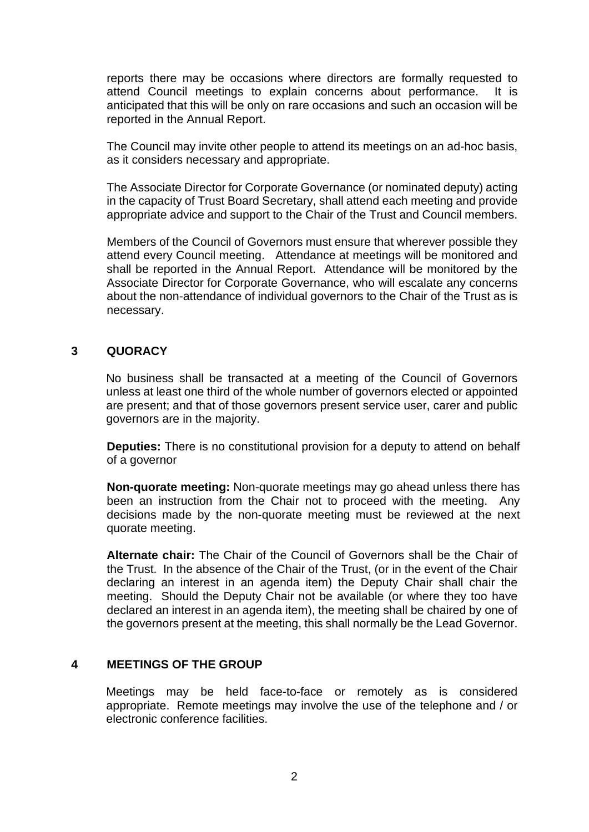reports there may be occasions where directors are formally requested to attend Council meetings to explain concerns about performance. It is anticipated that this will be only on rare occasions and such an occasion will be reported in the Annual Report.

The Council may invite other people to attend its meetings on an ad-hoc basis, as it considers necessary and appropriate.

The Associate Director for Corporate Governance (or nominated deputy) acting in the capacity of Trust Board Secretary, shall attend each meeting and provide appropriate advice and support to the Chair of the Trust and Council members.

Members of the Council of Governors must ensure that wherever possible they attend every Council meeting. Attendance at meetings will be monitored and shall be reported in the Annual Report. Attendance will be monitored by the Associate Director for Corporate Governance, who will escalate any concerns about the non-attendance of individual governors to the Chair of the Trust as is necessary.

#### **3 QUORACY**

No business shall be transacted at a meeting of the Council of Governors unless at least one third of the whole number of governors elected or appointed are present; and that of those governors present service user, carer and public governors are in the majority.

**Deputies:** There is no constitutional provision for a deputy to attend on behalf of a governor

**Non-quorate meeting:** Non-quorate meetings may go ahead unless there has been an instruction from the Chair not to proceed with the meeting. Any decisions made by the non-quorate meeting must be reviewed at the next quorate meeting.

**Alternate chair:** The Chair of the Council of Governors shall be the Chair of the Trust. In the absence of the Chair of the Trust, (or in the event of the Chair declaring an interest in an agenda item) the Deputy Chair shall chair the meeting. Should the Deputy Chair not be available (or where they too have declared an interest in an agenda item), the meeting shall be chaired by one of the governors present at the meeting, this shall normally be the Lead Governor.

## **4 MEETINGS OF THE GROUP**

Meetings may be held face-to-face or remotely as is considered appropriate. Remote meetings may involve the use of the telephone and / or electronic conference facilities.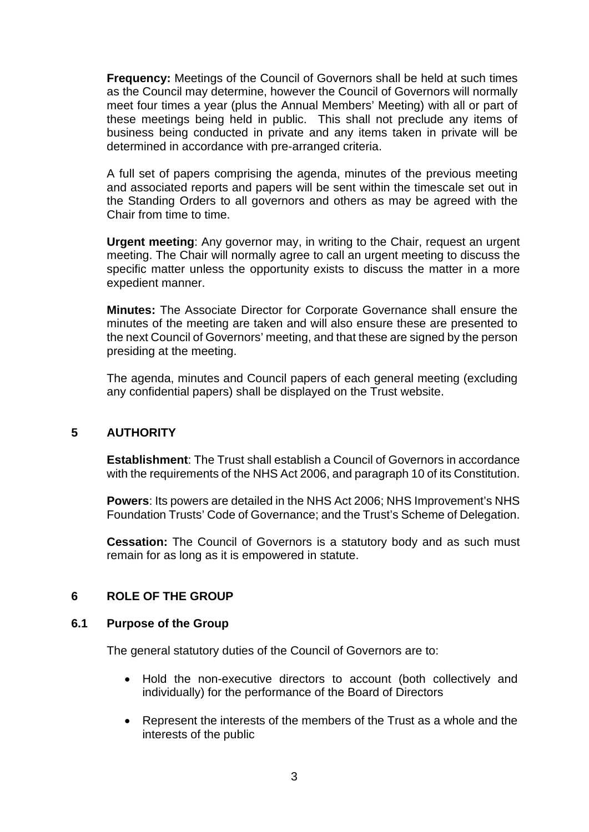**Frequency:** Meetings of the Council of Governors shall be held at such times as the Council may determine, however the Council of Governors will normally meet four times a year (plus the Annual Members' Meeting) with all or part of these meetings being held in public. This shall not preclude any items of business being conducted in private and any items taken in private will be determined in accordance with pre-arranged criteria.

A full set of papers comprising the agenda, minutes of the previous meeting and associated reports and papers will be sent within the timescale set out in the Standing Orders to all governors and others as may be agreed with the Chair from time to time.

**Urgent meeting**: Any governor may, in writing to the Chair, request an urgent meeting. The Chair will normally agree to call an urgent meeting to discuss the specific matter unless the opportunity exists to discuss the matter in a more expedient manner.

**Minutes:** The Associate Director for Corporate Governance shall ensure the minutes of the meeting are taken and will also ensure these are presented to the next Council of Governors' meeting, and that these are signed by the person presiding at the meeting.

The agenda, minutes and Council papers of each general meeting (excluding any confidential papers) shall be displayed on the Trust website.

#### **5 AUTHORITY**

**Establishment**: The Trust shall establish a Council of Governors in accordance with the requirements of the NHS Act 2006, and paragraph 10 of its Constitution.

**Powers**: Its powers are detailed in the NHS Act 2006; NHS Improvement's NHS Foundation Trusts' Code of Governance; and the Trust's Scheme of Delegation.

**Cessation:** The Council of Governors is a statutory body and as such must remain for as long as it is empowered in statute.

# **6 ROLE OF THE GROUP**

#### **6.1 Purpose of the Group**

The general statutory duties of the Council of Governors are to:

- Hold the non-executive directors to account (both collectively and individually) for the performance of the Board of Directors
- Represent the interests of the members of the Trust as a whole and the interests of the public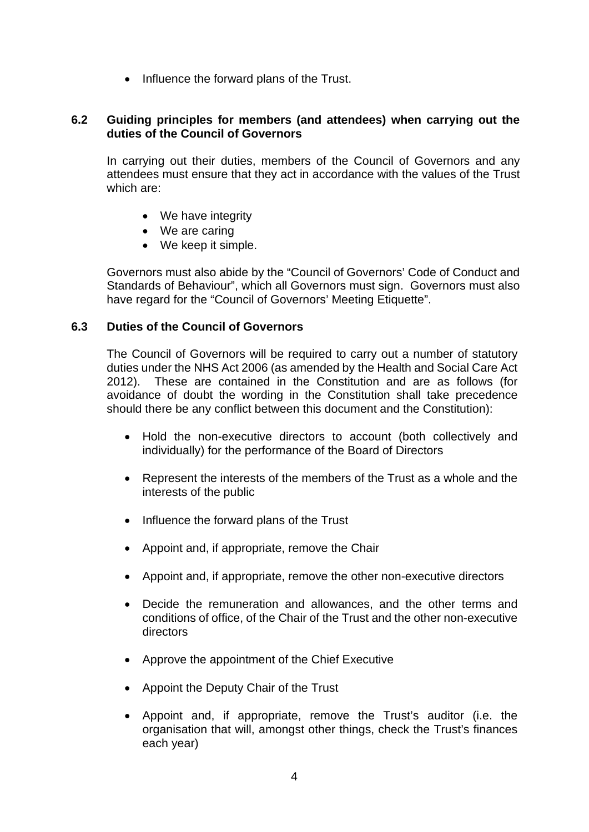• Influence the forward plans of the Trust.

## **6.2 Guiding principles for members (and attendees) when carrying out the duties of the Council of Governors**

In carrying out their duties, members of the Council of Governors and any attendees must ensure that they act in accordance with the values of the Trust which are:

- We have integrity
- We are caring
- We keep it simple.

Governors must also abide by the "Council of Governors' Code of Conduct and Standards of Behaviour", which all Governors must sign. Governors must also have regard for the "Council of Governors' Meeting Etiquette".

## **6.3 Duties of the Council of Governors**

The Council of Governors will be required to carry out a number of statutory duties under the NHS Act 2006 (as amended by the Health and Social Care Act 2012). These are contained in the Constitution and are as follows (for avoidance of doubt the wording in the Constitution shall take precedence should there be any conflict between this document and the Constitution):

- Hold the non-executive directors to account (both collectively and individually) for the performance of the Board of Directors
- Represent the interests of the members of the Trust as a whole and the interests of the public
- Influence the forward plans of the Trust
- Appoint and, if appropriate, remove the Chair
- Appoint and, if appropriate, remove the other non-executive directors
- Decide the remuneration and allowances, and the other terms and conditions of office, of the Chair of the Trust and the other non-executive directors
- Approve the appointment of the Chief Executive
- Appoint the Deputy Chair of the Trust
- Appoint and, if appropriate, remove the Trust's auditor (i.e. the organisation that will, amongst other things, check the Trust's finances each year)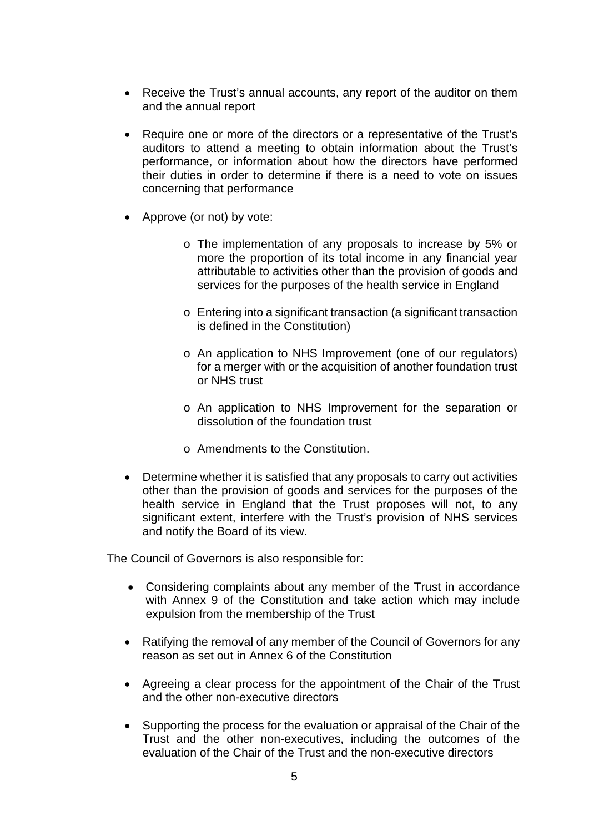- Receive the Trust's annual accounts, any report of the auditor on them and the annual report
- Require one or more of the directors or a representative of the Trust's auditors to attend a meeting to obtain information about the Trust's performance, or information about how the directors have performed their duties in order to determine if there is a need to vote on issues concerning that performance
- Approve (or not) by vote:
	- o The implementation of any proposals to increase by 5% or more the proportion of its total income in any financial year attributable to activities other than the provision of goods and services for the purposes of the health service in England
	- o Entering into a significant transaction (a significant transaction is defined in the Constitution)
	- o An application to NHS Improvement (one of our regulators) for a merger with or the acquisition of another foundation trust or NHS trust
	- o An application to NHS Improvement for the separation or dissolution of the foundation trust
	- o Amendments to the Constitution.
- Determine whether it is satisfied that any proposals to carry out activities other than the provision of goods and services for the purposes of the health service in England that the Trust proposes will not, to any significant extent, interfere with the Trust's provision of NHS services and notify the Board of its view.

The Council of Governors is also responsible for:

- Considering complaints about any member of the Trust in accordance with Annex 9 of the Constitution and take action which may include expulsion from the membership of the Trust
- Ratifying the removal of any member of the Council of Governors for any reason as set out in Annex 6 of the Constitution
- Agreeing a clear process for the appointment of the Chair of the Trust and the other non-executive directors
- Supporting the process for the evaluation or appraisal of the Chair of the Trust and the other non-executives, including the outcomes of the evaluation of the Chair of the Trust and the non-executive directors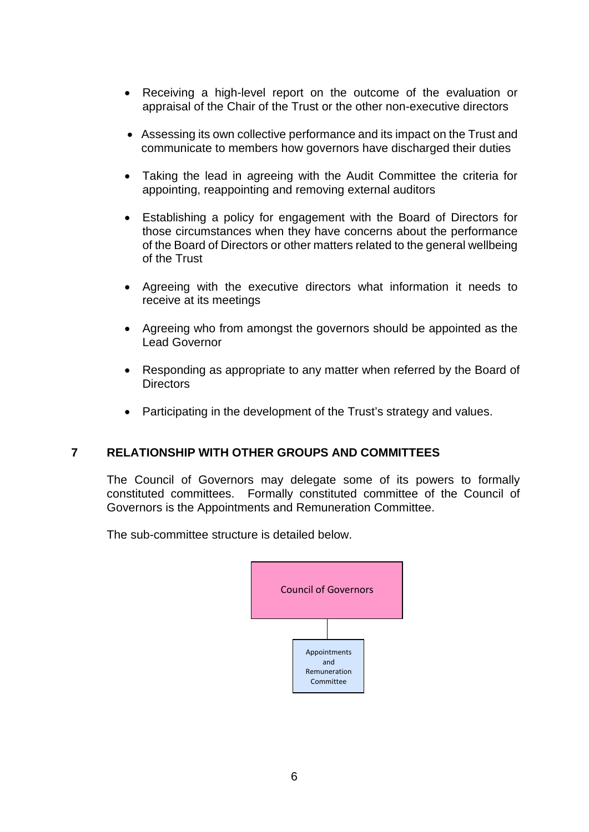- Receiving a high-level report on the outcome of the evaluation or appraisal of the Chair of the Trust or the other non-executive directors
- Assessing its own collective performance and its impact on the Trust and communicate to members how governors have discharged their duties
- Taking the lead in agreeing with the Audit Committee the criteria for appointing, reappointing and removing external auditors
- Establishing a policy for engagement with the Board of Directors for those circumstances when they have concerns about the performance of the Board of Directors or other matters related to the general wellbeing of the Trust
- Agreeing with the executive directors what information it needs to receive at its meetings
- Agreeing who from amongst the governors should be appointed as the Lead Governor
- Responding as appropriate to any matter when referred by the Board of **Directors**
- Participating in the development of the Trust's strategy and values.

# **7 RELATIONSHIP WITH OTHER GROUPS AND COMMITTEES**

The Council of Governors may delegate some of its powers to formally constituted committees. Formally constituted committee of the Council of Governors is the Appointments and Remuneration Committee.

The sub-committee structure is detailed below.